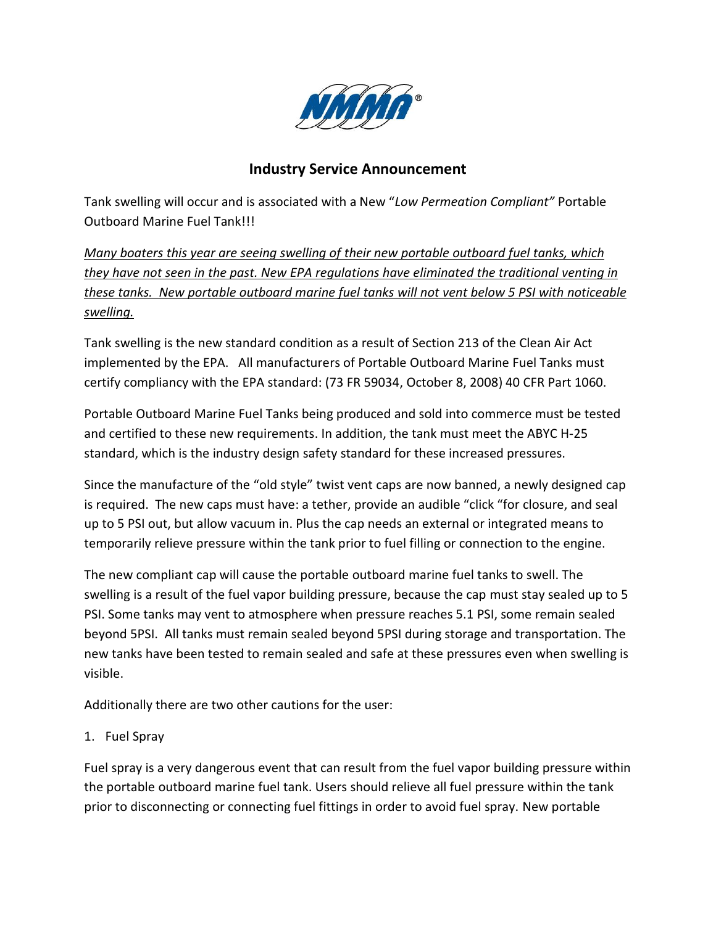

## **Industry Service Announcement**

Tank swelling will occur and is associated with a New "*Low Permeation Compliant"* Portable Outboard Marine Fuel Tank!!!

*Many boaters this year are seeing swelling of their new portable outboard fuel tanks, which they have not seen in the past. New EPA regulations have eliminated the traditional venting in these tanks. New portable outboard marine fuel tanks will not vent below 5 PSI with noticeable swelling.*

Tank swelling is the new standard condition as a result of Section 213 of the Clean Air Act implemented by the EPA. All manufacturers of Portable Outboard Marine Fuel Tanks must certify compliancy with the EPA standard: (73 FR 59034, October 8, 2008) 40 CFR Part 1060.

Portable Outboard Marine Fuel Tanks being produced and sold into commerce must be tested and certified to these new requirements. In addition, the tank must meet the ABYC H-25 standard, which is the industry design safety standard for these increased pressures.

Since the manufacture of the "old style" twist vent caps are now banned, a newly designed cap is required. The new caps must have: a tether, provide an audible "click "for closure, and seal up to 5 PSI out, but allow vacuum in. Plus the cap needs an external or integrated means to temporarily relieve pressure within the tank prior to fuel filling or connection to the engine.

The new compliant cap will cause the portable outboard marine fuel tanks to swell. The swelling is a result of the fuel vapor building pressure, because the cap must stay sealed up to 5 PSI. Some tanks may vent to atmosphere when pressure reaches 5.1 PSI, some remain sealed beyond 5PSI. All tanks must remain sealed beyond 5PSI during storage and transportation. The new tanks have been tested to remain sealed and safe at these pressures even when swelling is visible.

Additionally there are two other cautions for the user:

1. Fuel Spray

Fuel spray is a very dangerous event that can result from the fuel vapor building pressure within the portable outboard marine fuel tank. Users should relieve all fuel pressure within the tank prior to disconnecting or connecting fuel fittings in order to avoid fuel spray. New portable